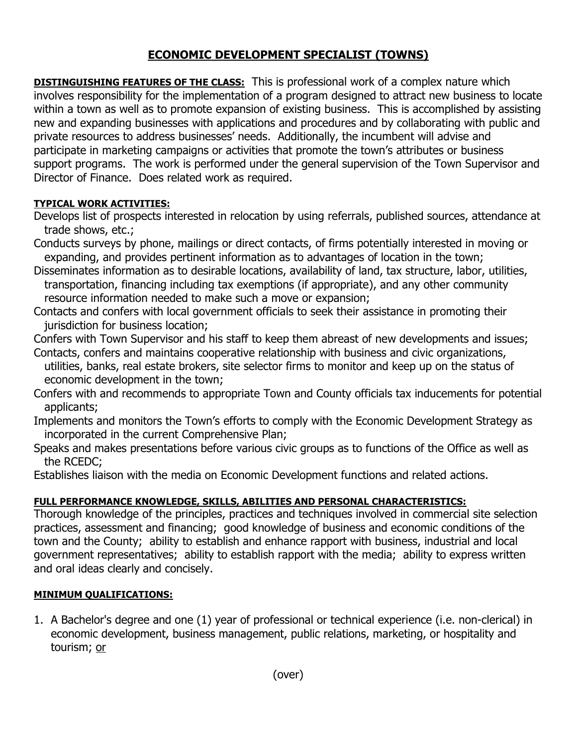## **ECONOMIC DEVELOPMENT SPECIALIST (TOWNS)**

**DISTINGUISHING FEATURES OF THE CLASS:** This is professional work of a complex nature which involves responsibility for the implementation of a program designed to attract new business to locate within a town as well as to promote expansion of existing business. This is accomplished by assisting new and expanding businesses with applications and procedures and by collaborating with public and private resources to address businesses' needs. Additionally, the incumbent will advise and participate in marketing campaigns or activities that promote the town's attributes or business support programs. The work is performed under the general supervision of the Town Supervisor and Director of Finance. Does related work as required.

## **TYPICAL WORK ACTIVITIES:**

- Develops list of prospects interested in relocation by using referrals, published sources, attendance at trade shows, etc.;
- Conducts surveys by phone, mailings or direct contacts, of firms potentially interested in moving or expanding, and provides pertinent information as to advantages of location in the town;
- Disseminates information as to desirable locations, availability of land, tax structure, labor, utilities, transportation, financing including tax exemptions (if appropriate), and any other community resource information needed to make such a move or expansion;
- Contacts and confers with local government officials to seek their assistance in promoting their jurisdiction for business location;
- Confers with Town Supervisor and his staff to keep them abreast of new developments and issues; Contacts, confers and maintains cooperative relationship with business and civic organizations,
- utilities, banks, real estate brokers, site selector firms to monitor and keep up on the status of economic development in the town;
- Confers with and recommends to appropriate Town and County officials tax inducements for potential applicants;
- Implements and monitors the Town's efforts to comply with the Economic Development Strategy as incorporated in the current Comprehensive Plan;
- Speaks and makes presentations before various civic groups as to functions of the Office as well as the RCEDC;

Establishes liaison with the media on Economic Development functions and related actions.

## **FULL PERFORMANCE KNOWLEDGE, SKILLS, ABILITIES AND PERSONAL CHARACTERISTICS:**

Thorough knowledge of the principles, practices and techniques involved in commercial site selection practices, assessment and financing; good knowledge of business and economic conditions of the town and the County; ability to establish and enhance rapport with business, industrial and local government representatives; ability to establish rapport with the media; ability to express written and oral ideas clearly and concisely.

## **MINIMUM QUALIFICATIONS:**

1. A Bachelor's degree and one (1) year of professional or technical experience (i.e. non-clerical) in economic development, business management, public relations, marketing, or hospitality and tourism; or